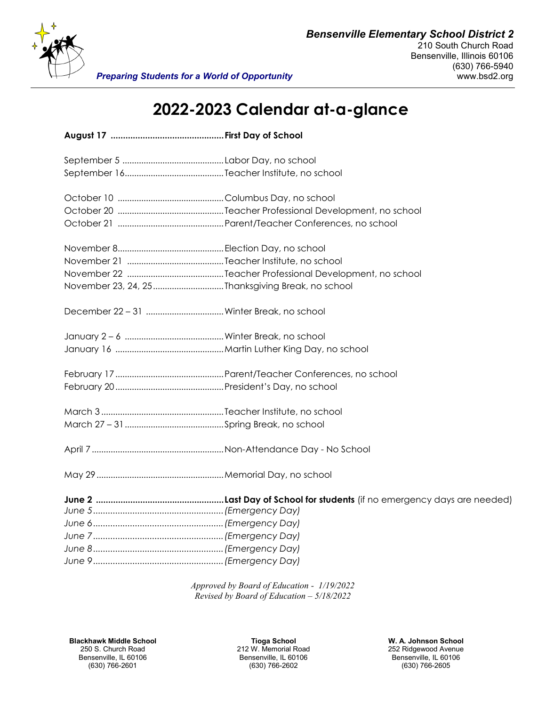

## **2022-2023 Calendar at-a-glance**

| November 23, 24, 25 Thanksgiving Break, no school |  |
|---------------------------------------------------|--|
|                                                   |  |
|                                                   |  |
|                                                   |  |
|                                                   |  |
|                                                   |  |
|                                                   |  |
|                                                   |  |
|                                                   |  |
|                                                   |  |
|                                                   |  |
|                                                   |  |
|                                                   |  |
|                                                   |  |
|                                                   |  |
|                                                   |  |
|                                                   |  |

*Approved by Board of Education - 1/19/2022 Revised by Board of Education – 5/18/2022*

**Blackhawk Middle School <b>Tioga School Tioga School W. A. Johnson School W. A. Johnson School** 250 S. Church Road **W. A. Johnson School** 250 S. Church Road **W. A. Johnson School** 212 W. Memorial Road 252 Ridgewood Av 250 S. Church Road 212 W. Memorial Road 252 Ridgewood Avenue

Bensenville, IL 60106 Bensenville, IL 60106 Bensenville, IL 60106

(630) 766-2601 (630) 766-2602 (630) 766-2605